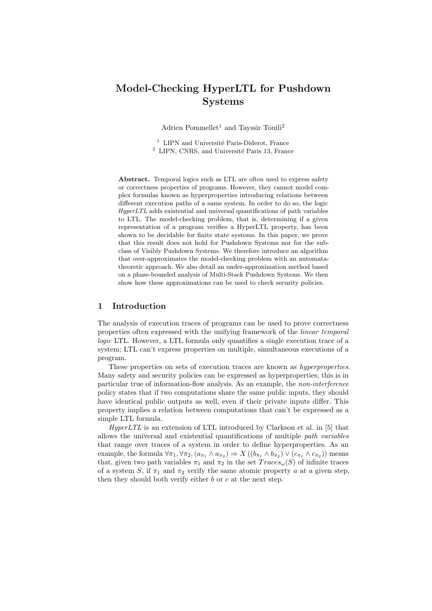# Model-Checking HyperLTL for Pushdown Systems

Adrien Pommellet<sup>1</sup> and Tayssir Touili<sup>2</sup>

 $1$  LIPN and Université Paris-Diderot, France  $2$  LIPN, CNRS, and Université Paris 13, France

Abstract. Temporal logics such as LTL are often used to express safety or correctness properties of programs. However, they cannot model complex formulas known as hyperproperties introducing relations between different execution paths of a same system. In order to do so, the logic HyperLTL adds existential and universal quantifications of path variables to LTL. The model-checking problem, that is, determining if a given representation of a program verifies a HyperLTL property, has been shown to be decidable for finite state systems. In this paper, we prove that this result does not hold for Pushdown Systems nor for the subclass of Visibly Pushdown Systems. We therefore introduce an algorithm that over-approximates the model-checking problem with an automatatheoretic approach. We also detail an under-approximation method based on a phase-bounded analysis of Multi-Stack Pushdown Systems. We then show how these approximations can be used to check security policies.

# 1 Introduction

The analysis of execution traces of programs can be used to prove correctness properties often expressed with the unifying framework of the linear temporal logic LTL. However, a LTL formula only quantifies a single execution trace of a system; LTL can't express properties on multiple, simultaneous executions of a program.

These properties on sets of execution traces are known as hyperproperties. Many safety and security policies can be expressed as hyperproperties; this is in particular true of information-flow analysis. As an example, the non-interference policy states that if two computations share the same public inputs, they should have identical public outputs as well, even if their private inputs differ. This property implies a relation between computations that can't be expressed as a simple LTL formula.

 $HyperLTL$  is an extension of LTL introduced by Clarkson et al. in [5] that allows the universal and existential quantifications of multiple path variables that range over traces of a system in order to define hyperproperties. As an example, the formula  $\forall \pi_1, \forall \pi_2, (a_{\pi_1} \wedge a_{\pi_2}) \Rightarrow X((b_{\pi_1} \wedge b_{\pi_2}) \vee (c_{\pi_1} \wedge c_{\pi_2}))$  means that, given two path variables  $\pi_1$  and  $\pi_2$  in the set  $Trace_{\omega}(S)$  of infinite traces of a system S, if  $\pi_1$  and  $\pi_2$  verify the same atomic property a at a given step, then they should both verify either  $b$  or  $c$  at the next step.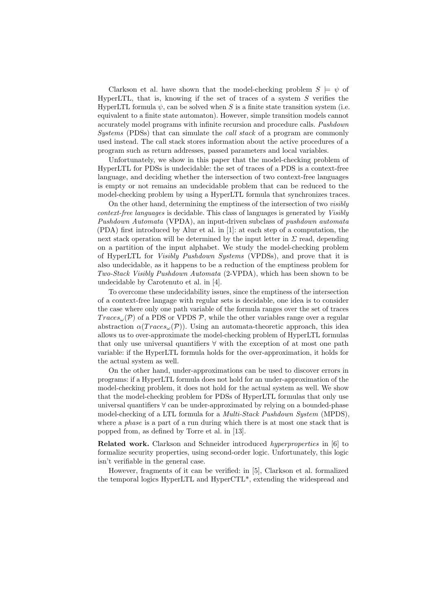Clarkson et al. have shown that the model-checking problem  $S \models \psi$  of HyperLTL, that is, knowing if the set of traces of a system  $S$  verifies the HyperLTL formula  $\psi$ , can be solved when S is a finite state transition system (i.e. equivalent to a finite state automaton). However, simple transition models cannot accurately model programs with infinite recursion and procedure calls. Pushdown Systems (PDSs) that can simulate the call stack of a program are commonly used instead. The call stack stores information about the active procedures of a program such as return addresses, passed parameters and local variables.

Unfortunately, we show in this paper that the model-checking problem of HyperLTL for PDSs is undecidable: the set of traces of a PDS is a context-free language, and deciding whether the intersection of two context-free languages is empty or not remains an undecidable problem that can be reduced to the model-checking problem by using a HyperLTL formula that synchronizes traces.

On the other hand, determining the emptiness of the intersection of two visibly context-free languages is decidable. This class of languages is generated by Visibly Pushdown Automata (VPDA), an input-driven subclass of pushdown automata (PDA) first introduced by Alur et al. in [1]: at each step of a computation, the next stack operation will be determined by the input letter in  $\Sigma$  read, depending on a partition of the input alphabet. We study the model-checking problem of HyperLTL for Visibly Pushdown Systems (VPDSs), and prove that it is also undecidable, as it happens to be a reduction of the emptiness problem for Two-Stack Visibly Pushdown Automata (2-VPDA), which has been shown to be undecidable by Carotenuto et al. in [4].

To overcome these undecidability issues, since the emptiness of the intersection of a context-free langage with regular sets is decidable, one idea is to consider the case where only one path variable of the formula ranges over the set of traces  $Trace_{\omega}(\mathcal{P})$  of a PDS or VPDS  $\mathcal{P}$ , while the other variables range over a regular abstraction  $\alpha(Traces_{\omega}(\mathcal{P}))$ . Using an automata-theoretic approach, this idea allows us to over-approximate the model-checking problem of HyperLTL formulas that only use universal quantifiers ∀ with the exception of at most one path variable: if the HyperLTL formula holds for the over-approximation, it holds for the actual system as well.

On the other hand, under-approximations can be used to discover errors in programs: if a HyperLTL formula does not hold for an under-approximation of the model-checking problem, it does not hold for the actual system as well. We show that the model-checking problem for PDSs of HyperLTL formulas that only use universal quantifiers ∀ can be under-approximated by relying on a bounded-phase model-checking of a LTL formula for a *Multi-Stack Pushdown System* (MPDS), where a *phase* is a part of a run during which there is at most one stack that is popped from, as defined by Torre et al. in [13].

Related work. Clarkson and Schneider introduced hyperproperties in [6] to formalize security properties, using second-order logic. Unfortunately, this logic isn't verifiable in the general case.

However, fragments of it can be verified: in [5], Clarkson et al. formalized the temporal logics HyperLTL and HyperCTL\*, extending the widespread and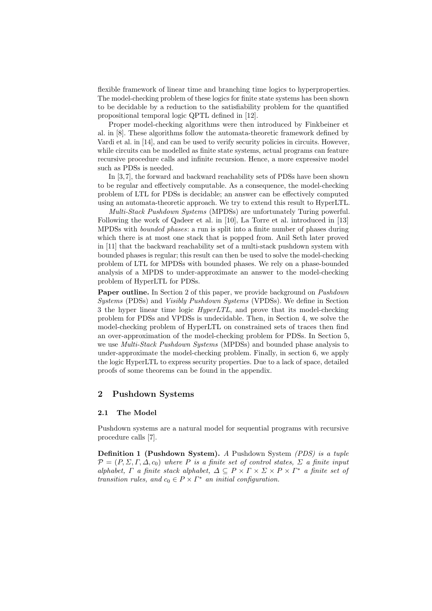flexible framework of linear time and branching time logics to hyperproperties. The model-checking problem of these logics for finite state systems has been shown to be decidable by a reduction to the satisfiability problem for the quantified propositional temporal logic QPTL defined in [12].

Proper model-checking algorithms were then introduced by Finkbeiner et al. in [8]. These algorithms follow the automata-theoretic framework defined by Vardi et al. in [14], and can be used to verify security policies in circuits. However, while circuits can be modelled as finite state systems, actual programs can feature recursive procedure calls and infinite recursion. Hence, a more expressive model such as PDSs is needed.

In [3, 7], the forward and backward reachability sets of PDSs have been shown to be regular and effectively computable. As a consequence, the model-checking problem of LTL for PDSs is decidable; an answer can be effectively computed using an automata-theoretic approach. We try to extend this result to HyperLTL.

Multi-Stack Pushdown Systems (MPDSs) are unfortunately Turing powerful. Following the work of Qadeer et al. in [10], La Torre et al. introduced in [13] MPDSs with bounded phases: a run is split into a finite number of phases during which there is at most one stack that is popped from. Anil Seth later proved in [11] that the backward reachability set of a multi-stack pushdown system with bounded phases is regular; this result can then be used to solve the model-checking problem of LTL for MPDSs with bounded phases. We rely on a phase-bounded analysis of a MPDS to under-approximate an answer to the model-checking problem of HyperLTL for PDSs.

Paper outline. In Section 2 of this paper, we provide background on *Pushdown* Systems (PDSs) and Visibly Pushdown Systems (VPDSs). We define in Section 3 the hyper linear time logic HyperLTL, and prove that its model-checking problem for PDSs and VPDSs is undecidable. Then, in Section 4, we solve the model-checking problem of HyperLTL on constrained sets of traces then find an over-approximation of the model-checking problem for PDSs. In Section 5, we use Multi-Stack Pushdown Systems (MPDSs) and bounded phase analysis to under-approximate the model-checking problem. Finally, in section 6, we apply the logic HyperLTL to express security properties. Due to a lack of space, detailed proofs of some theorems can be found in the appendix.

#### 2 Pushdown Systems

#### 2.1 The Model

Pushdown systems are a natural model for sequential programs with recursive procedure calls [7].

Definition 1 (Pushdown System). A Pushdown System (PDS) is a tuple  $\mathcal{P} = (P, \Sigma, \Gamma, \Delta, c_0)$  where P is a finite set of control states,  $\Sigma$  a finite input alphabet,  $\Gamma$  a finite stack alphabet,  $\Delta \subseteq P \times \Gamma \times \Sigma \times P \times \Gamma^*$  a finite set of transition rules, and  $c_0 \in P \times \Gamma^*$  an initial configuration.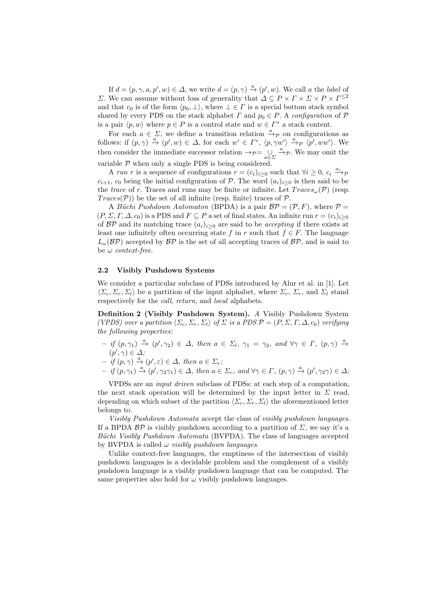If  $d = (p, \gamma, a, p', w) \in \Delta$ , we write  $d = (p, \gamma) \stackrel{a}{\rightarrow} (p', w)$ . We call a the label of  $Σ$ . We can assume without loss of generality that  $Δ ⊆ P × Γ × Σ × P × Γ<sup>≤2</sup>$ and that  $c_0$  is of the form  $\langle p_0, \perp \rangle$ , where  $\perp \in \Gamma$  is a special bottom stack symbol shared by every PDS on the stack alphabet  $\Gamma$  and  $p_0 \in P$ . A configuration of  $\mathcal P$ is a pair  $\langle p, w \rangle$  where  $p \in P$  is a control state and  $w \in \Gamma^*$  a stack content.

For each  $a \in \Sigma$ , we define a transition relation  $\stackrel{a}{\rightarrow}p$  on configurations as follows: if  $(p, \gamma) \stackrel{a}{\to} (p', w) \in \Delta$ , for each  $w' \in \Gamma^*$ ,  $\langle p, \gamma w' \rangle \stackrel{a}{\to} p \langle p', ww' \rangle$ . We then consider the immediate successor relation  $\rightarrow_{\mathcal{P}} = \bigcup_{a \in \Sigma} \xrightarrow{a} \mathcal{P}$ . We may omit the variable  $P$  when only a single PDS is being considered.

A run r is a sequence of configurations  $r = (c_i)_{i \geq 0}$  such that  $\forall i \geq 0, c_i \stackrel{a_i}{\longrightarrow} \tau$  $c_{i+1}$ ,  $c_0$  being the initial configuration of P. The word  $(a_i)_{i>0}$  is then said to be the trace of r. Traces and runs may be finite or infinite. Let  $Trace_{\omega}(\mathcal{P})$  (resp.  $Trace(\mathcal{P})$  be the set of all infinite (resp. finite) traces of  $\mathcal{P}$ .

A Büchi Pushdown Automaton (BPDA) is a pair  $BP = (P, F)$ , where  $P =$  $(P, \Sigma, \Gamma, \Delta, c_0)$  is a PDS and  $F \subseteq P$  a set of final states. An infinite run  $r = (c_i)_{i \geq 0}$ of  $BP$  and its matching trace  $(a_i)_{i\geq 0}$  are said to be *accepting* if there exists at least one infinitely often occurring state f in r such that  $f \in F$ . The language  $L_{\omega}(\mathcal{BP})$  accepted by  $\mathcal{BP}$  is the set of all accepting traces of  $\mathcal{BP}$ , and is said to be  $\omega$  context-free.

#### 2.2 Visibly Pushdown Systems

We consider a particular subclass of PDSs introduced by Alur et al. in [1]. Let  $\langle \Sigma_c, \Sigma_r, \Sigma_l \rangle$  be a partition of the input alphabet, where  $\Sigma_c$ ,  $\Sigma_r$ , and  $\Sigma_l$  stand respectively for the *call, return*, and *local* alphabets.

Definition 2 (Visibly Pushdown System). A Visibly Pushdown System (VPDS) over a partition  $\langle \Sigma_c, \Sigma_r, \Sigma_l \rangle$  of  $\Sigma$  is a PDS  $\mathcal{P} = (P, \Sigma, \Gamma, \Delta, c_0)$  verifying the following properties:

- $-$  if  $(p, \gamma_1) \stackrel{a}{\rightarrow} (p', \gamma_2) \in \Delta$ , then  $a \in \Sigma_l$ ,  $\gamma_1 = \gamma_2$ , and  $\forall \gamma \in \Gamma$ ,  $(p, \gamma) \stackrel{a}{\rightarrow}$  $(p', \gamma) \in \Delta;$
- $-$  if  $(p, \gamma) \stackrel{a}{\rightarrow} (p', \varepsilon) \in \Delta$ , then  $a \in \Sigma_r$ ;
- $-$  if  $(p, \gamma_1) \stackrel{a}{\rightarrow} (p', \gamma_2 \gamma_1) \in \Delta$ , then  $a \in \Sigma_c$ , and  $\forall \gamma \in \Gamma$ ,  $(p, \gamma) \stackrel{a}{\rightarrow} (p', \gamma_2 \gamma) \in \Delta$ ;

VPDSs are an input driven subclass of PDSs: at each step of a computation, the next stack operation will be determined by the input letter in  $\Sigma$  read, depending on which subset of the partition  $\langle \Sigma_c, \Sigma_r, \Sigma_l \rangle$  the aforementioned letter belongs to.

Visibly Pushdown Automata accept the class of visibly pushdown languages. If a BPDA  $BP$  is visibly pushdown according to a partition of  $\Sigma$ , we say it's a Büchi Visibly Pushdown Automata (BVPDA). The class of languages accepted by BVPDA is called  $\omega$  *visibly pushdown languages.* 

Unlike context-free languages, the emptiness of the intersection of visibly pushdown languages is a decidable problem and the complement of a visibly pushdown language is a visibly pushdown language that can be computed. The same properties also hold for  $\omega$  visibly pushdown languages.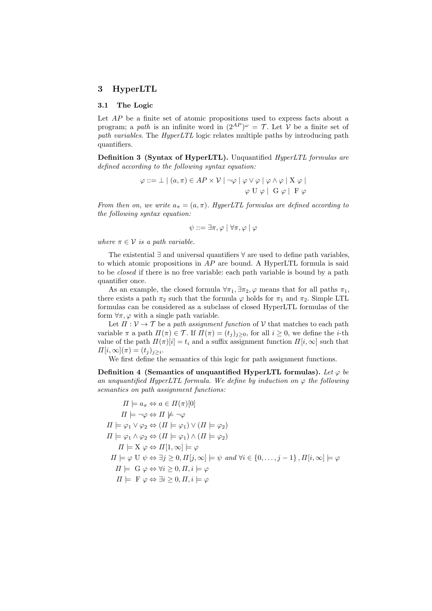## 3 HyperLTL

#### 3.1 The Logic

Let AP be a finite set of atomic propositions used to express facts about a program; a path is an infinite word in  $(2^{AP})^{\omega} = \mathcal{T}$ . Let V be a finite set of path variables. The HyperLTL logic relates multiple paths by introducing path quantifiers.

Definition 3 (Syntax of HyperLTL). Unquantified HyperLTL formulas are defined according to the following syntax equation:

$$
\varphi ::= \bot \mid (a, \pi) \in AP \times V \mid \neg \varphi \mid \varphi \lor \varphi \mid \varphi \land \varphi \mid X \varphi \mid
$$

$$
\varphi \cup \varphi \mid G \varphi \mid F \varphi
$$

From then on, we write  $a_{\pi} = (a, \pi)$ . HyperLTL formulas are defined according to the following syntax equation:

$$
\psi ::= \exists \pi, \varphi \mid \forall \pi, \varphi \mid \varphi
$$

where  $\pi \in \mathcal{V}$  is a path variable.

The existential ∃ and universal quantifiers ∀ are used to define path variables, to which atomic propositions in  $AP$  are bound. A HyperLTL formula is said to be closed if there is no free variable: each path variable is bound by a path quantifier once.

As an example, the closed formula  $\forall \pi_1, \exists \pi_2, \varphi$  means that for all paths  $\pi_1$ , there exists a path  $\pi_2$  such that the formula  $\varphi$  holds for  $\pi_1$  and  $\pi_2$ . Simple LTL formulas can be considered as a subclass of closed HyperLTL formulas of the form  $\forall \pi, \varphi$  with a single path variable.

Let  $\Pi: \mathcal{V} \to \mathcal{T}$  be a path assignment function of  $\mathcal{V}$  that matches to each path variable  $\pi$  a path  $\Pi(\pi) \in \mathcal{T}$ . If  $\Pi(\pi) = (t_i)_{i \geq 0}$ , for all  $i \geq 0$ , we define the *i*-th value of the path  $\Pi(\pi)[i] = t_i$  and a suffix assignment function  $\Pi[i,\infty]$  such that  $\Pi[i,\infty](\pi) = (t_j)_{j \geq i}.$ 

We first define the semantics of this logic for path assignment functions.

Definition 4 (Semantics of unquantified HyperLTL formulas). Let  $\varphi$  be an unquantified HyperLTL formula. We define by induction on  $\varphi$  the following semantics on path assignment functions:

$$
\Pi \models a_{\pi} \Leftrightarrow a \in \Pi(\pi)[0]
$$
\n
$$
\Pi \models \neg \varphi \Leftrightarrow \Pi \not\models \neg \varphi
$$
\n
$$
\Pi \models \varphi_1 \lor \varphi_2 \Leftrightarrow (\Pi \models \varphi_1) \lor (\Pi \models \varphi_2)
$$
\n
$$
\Pi \models \varphi_1 \land \varphi_2 \Leftrightarrow (\Pi \models \varphi_1) \land (\Pi \models \varphi_2)
$$
\n
$$
\Pi \models X \varphi \Leftrightarrow \Pi[1, \infty] \models \varphi
$$
\n
$$
\Pi \models \varphi \cup \psi \Leftrightarrow \exists j \geq 0, \Pi[j, \infty] \models \psi \text{ and } \forall i \in \{0, \dots, j - 1\}, \Pi[i, \infty] \models \varphi
$$
\n
$$
\Pi \models \mathcal{G} \varphi \Leftrightarrow \forall i \geq 0, \Pi, i \models \varphi
$$
\n
$$
\Pi \models \mathcal{F} \varphi \Leftrightarrow \exists i \geq 0, \Pi, i \models \varphi
$$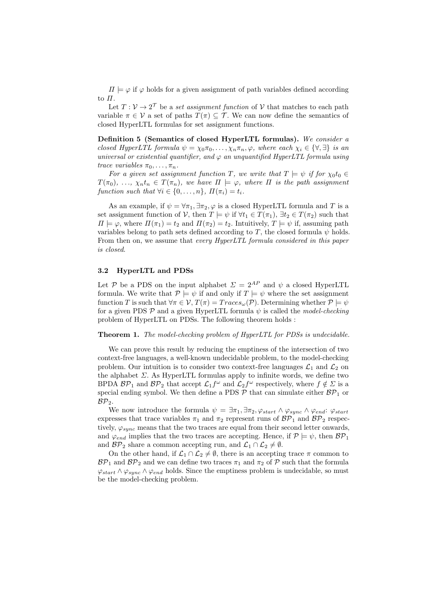$\Pi \models \varphi$  if  $\varphi$  holds for a given assignment of path variables defined according to  $\Pi$ .

Let  $T: \mathcal{V} \to 2^{\mathcal{T}}$  be a set assignment function of  $\mathcal{V}$  that matches to each path variable  $\pi \in \mathcal{V}$  a set of paths  $T(\pi) \subseteq \mathcal{T}$ . We can now define the semantics of closed HyperLTL formulas for set assignment functions.

Definition 5 (Semantics of closed HyperLTL formulas). We consider a closed HyperLTL formula  $\psi = \chi_0 \pi_0, \ldots, \chi_n \pi_n, \varphi$ , where each  $\chi_i \in {\forall, \exists}$  is an universal or existential quantifier, and  $\varphi$  an unquantified HyperLTL formula using trace variables  $\pi_0, \ldots, \pi_n$ .

For a given set assignment function T, we write that  $T \models \psi$  if for  $\chi_0 t_0 \in$  $T(\pi_0), \ldots, \chi_n t_n \in T(\pi_n),$  we have  $\Pi \models \varphi$ , where  $\Pi$  is the path assignment function such that  $\forall i \in \{0, \ldots, n\}$ ,  $\Pi(\pi_i) = t_i$ .

As an example, if  $\psi = \forall \pi_1, \exists \pi_2, \varphi$  is a closed HyperLTL formula and T is a set assignment function of V, then  $T \models \psi$  if  $\forall t_1 \in T(\pi_1)$ ,  $\exists t_2 \in T(\pi_2)$  such that  $\Pi \models \varphi$ , where  $\Pi(\pi_1) = t_2$  and  $\Pi(\pi_2) = t_2$ . Intuitively,  $T \models \psi$  if, assuming path variables belong to path sets defined according to T, the closed formula  $\psi$  holds. From then on, we assume that every HyperLTL formula considered in this paper is closed.

#### 3.2 HyperLTL and PDSs

Let P be a PDS on the input alphabet  $\Sigma = 2^{AP}$  and  $\psi$  a closed HyperLTL formula. We write that  $P \models \psi$  if and only if  $T \models \psi$  where the set assignment function T is such that  $\forall \pi \in \mathcal{V}, T(\pi) = Traces_{\omega}(\mathcal{P})$ . Determining whether  $\mathcal{P} \models \psi$ for a given PDS  $\mathcal P$  and a given HyperLTL formula  $\psi$  is called the model-checking problem of HyperLTL on PDSs. The following theorem holds :

#### Theorem 1. The model-checking problem of HyperLTL for PDSs is undecidable.

We can prove this result by reducing the emptiness of the intersection of two context-free languages, a well-known undecidable problem, to the model-checking problem. Our intuition is to consider two context-free languages  $\mathcal{L}_1$  and  $\mathcal{L}_2$  on the alphabet  $\Sigma$ . As HyperLTL formulas apply to infinite words, we define two BPDA  $BP_1$  and  $BP_2$  that accept  $\mathcal{L}_1 f^{\omega}$  and  $\mathcal{L}_2 f^{\omega}$  respectively, where  $f \notin \Sigma$  is a special ending symbol. We then define a PDS  $P$  that can simulate either  $BP_1$  or  $BP<sub>2</sub>$ .

We now introduce the formula  $\psi = \exists \pi_1, \exists \pi_2, \varphi_{start} \wedge \varphi_{sunc} \wedge \varphi_{end}$ :  $\varphi_{start}$ expresses that trace variables  $\pi_1$  and  $\pi_2$  represent runs of  $BP_1$  and  $BP_2$  respectively,  $\varphi_{sync}$  means that the two traces are equal from their second letter onwards, and  $\varphi_{end}$  implies that the two traces are accepting. Hence, if  $\mathcal{P} \models \psi$ , then  $\mathcal{BP}_1$ and  $\mathcal{BP}_2$  share a common accepting run, and  $\mathcal{L}_1 \cap \mathcal{L}_2 \neq \emptyset$ .

On the other hand, if  $\mathcal{L}_1 \cap \mathcal{L}_2 \neq \emptyset$ , there is an accepting trace  $\pi$  common to  $\mathcal{BP}_1$  and  $\mathcal{BP}_2$  and we can define two traces  $\pi_1$  and  $\pi_2$  of  $\mathcal P$  such that the formula  $\varphi_{start} \wedge \varphi_{sync} \wedge \varphi_{end}$  holds. Since the emptiness problem is undecidable, so must be the model-checking problem.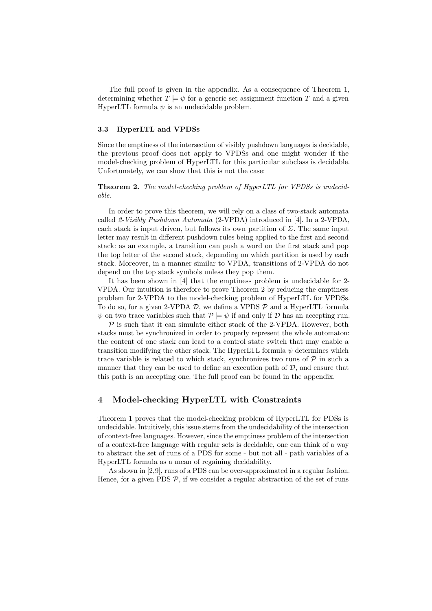The full proof is given in the appendix. As a consequence of Theorem 1, determining whether  $T \models \psi$  for a generic set assignment function T and a given HyperLTL formula  $\psi$  is an undecidable problem.

#### 3.3 HyperLTL and VPDSs

Since the emptiness of the intersection of visibly pushdown languages is decidable, the previous proof does not apply to VPDSs and one might wonder if the model-checking problem of HyperLTL for this particular subclass is decidable. Unfortunately, we can show that this is not the case:

Theorem 2. The model-checking problem of HyperLTL for VPDSs is undecidable.

In order to prove this theorem, we will rely on a class of two-stack automata called 2-Visibly Pushdown Automata (2-VPDA) introduced in [4]. In a 2-VPDA, each stack is input driven, but follows its own partition of  $\Sigma$ . The same input letter may result in different pushdown rules being applied to the first and second stack: as an example, a transition can push a word on the first stack and pop the top letter of the second stack, depending on which partition is used by each stack. Moreover, in a manner similar to VPDA, transitions of 2-VPDA do not depend on the top stack symbols unless they pop them.

It has been shown in [4] that the emptiness problem is undecidable for 2- VPDA. Our intuition is therefore to prove Theorem 2 by reducing the emptiness problem for 2-VPDA to the model-checking problem of HyperLTL for VPDSs. To do so, for a given 2-VPDA  $\mathcal{D}$ , we define a VPDS  $\mathcal{P}$  and a HyperLTL formula  $\psi$  on two trace variables such that  $\mathcal{P} \models \psi$  if and only if D has an accepting run.

 $P$  is such that it can simulate either stack of the 2-VPDA. However, both stacks must be synchronized in order to properly represent the whole automaton: the content of one stack can lead to a control state switch that may enable a transition modifying the other stack. The HyperLTL formula  $\psi$  determines which trace variable is related to which stack, synchronizes two runs of  $P$  in such a manner that they can be used to define an execution path of  $D$ , and ensure that this path is an accepting one. The full proof can be found in the appendix.

# 4 Model-checking HyperLTL with Constraints

Theorem 1 proves that the model-checking problem of HyperLTL for PDSs is undecidable. Intuitively, this issue stems from the undecidability of the intersection of context-free languages. However, since the emptiness problem of the intersection of a context-free language with regular sets is decidable, one can think of a way to abstract the set of runs of a PDS for some - but not all - path variables of a HyperLTL formula as a mean of regaining decidability.

As shown in [2,9], runs of a PDS can be over-approximated in a regular fashion. Hence, for a given PDS  $P$ , if we consider a regular abstraction of the set of runs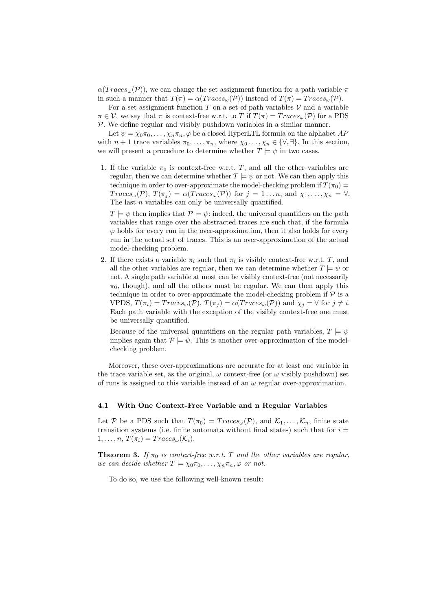$\alpha(Traces_{\omega}(P))$ , we can change the set assignment function for a path variable  $\pi$ in such a manner that  $T(\pi) = \alpha(Traces_{\omega}(\mathcal{P}))$  instead of  $T(\pi) = Traces_{\omega}(\mathcal{P})$ .

For a set assignment function  $T$  on a set of path variables  $V$  and a variable  $\pi \in \mathcal{V}$ , we say that  $\pi$  is context-free w.r.t. to T if  $T(\pi) = Trace_{\omega}(\mathcal{P})$  for a PDS P. We define regular and visibly pushdown variables in a similar manner.

Let  $\psi = \chi_0 \pi_0, \ldots, \chi_n \pi_n, \varphi$  be a closed HyperLTL formula on the alphabet AP with  $n + 1$  trace variables  $\pi_0, \ldots, \pi_n$ , where  $\chi_0, \ldots, \chi_n \in \{\forall, \exists\}$ . In this section, we will present a procedure to determine whether  $T \models \psi$  in two cases.

1. If the variable  $\pi_0$  is context-free w.r.t. T, and all the other variables are regular, then we can determine whether  $T \models \psi$  or not. We can then apply this technique in order to over-approximate the model-checking problem if  $T(\pi_0)$  =  $Trace_{\omega}(\mathcal{P}), T(\pi_j) = \alpha(Trace_{\omega}(\mathcal{P}))$  for  $j = 1...n$ , and  $\chi_1, \ldots, \chi_n = \forall$ . The last  $n$  variables can only be universally quantified.

 $T \models \psi$  then implies that  $\mathcal{P} \models \psi$ : indeed, the universal quantifiers on the path variables that range over the abstracted traces are such that, if the formula  $\varphi$  holds for every run in the over-approximation, then it also holds for every run in the actual set of traces. This is an over-approximation of the actual model-checking problem.

2. If there exists a variable  $\pi_i$  such that  $\pi_i$  is visibly context-free w.r.t. T, and all the other variables are regular, then we can determine whether  $T \models \psi$  or not. A single path variable at most can be visibly context-free (not necessarily  $\pi_0$ , though), and all the others must be regular. We can then apply this technique in order to over-approximate the model-checking problem if  $P$  is a VPDS,  $T(\pi_i) = Traces_{\omega}(\mathcal{P}), T(\pi_i) = \alpha(Traces_{\omega}(\mathcal{P}))$  and  $\chi_i = \forall$  for  $j \neq i$ . Each path variable with the exception of the visibly context-free one must be universally quantified.

Because of the universal quantifiers on the regular path variables,  $T \models \psi$ implies again that  $P \models \psi$ . This is another over-approximation of the modelchecking problem.

Moreover, these over-approximations are accurate for at least one variable in the trace variable set, as the original,  $\omega$  context-free (or  $\omega$  visibly pushdown) set of runs is assigned to this variable instead of an  $\omega$  regular over-approximation.

#### 4.1 With One Context-Free Variable and n Regular Variables

Let P be a PDS such that  $T(\pi_0) = Traces_{\omega}(\mathcal{P})$ , and  $\mathcal{K}_1, \ldots, \mathcal{K}_n$ , finite state transition systems (i.e. finite automata without final states) such that for  $i =$  $1, \ldots, n, T(\pi_i) = Trace_{\omega}(\mathcal{K}_i).$ 

**Theorem 3.** If  $\pi_0$  is context-free w.r.t. T and the other variables are regular, we can decide whether  $T \models \chi_0 \pi_0, \ldots, \chi_n \pi_n, \varphi$  or not.

To do so, we use the following well-known result: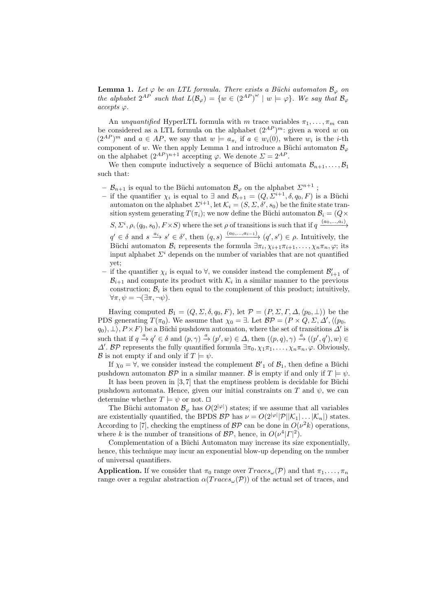**Lemma 1.** Let  $\varphi$  be an LTL formula. There exists a Büchi automaton  $\mathcal{B}_{\varphi}$  on the alphabet  $2^{AP}$  such that  $L(\mathcal{B}_{\varphi}) = \{w \in (2^{AP})^{\omega} \mid w \models \varphi\}$ . We say that  $\mathcal{B}_{\varphi}$ accepts ϕ.

An unquantified HyperLTL formula with m trace variables  $\pi_1, \ldots, \pi_m$  can be considered as a LTL formula on the alphabet  $(2^{AP})^m$ : given a word w on  $(2^{AP})^m$  and  $a \in AP$ , we say that  $w \models a_{\pi_i}$  if  $a \in w_i(0)$ , where  $w_i$  is the *i*-th component of w. We then apply Lemma 1 and introduce a Büchi automaton  $\mathcal{B}_{\varphi}$ on the alphabet  $(2^{AP})^{n+1}$  accepting  $\varphi$ . We denote  $\Sigma = 2^{AP}$ .

We then compute inductively a sequence of Büchi automata  $\mathcal{B}_{n+1}, \ldots, \mathcal{B}_1$ such that:

- $-\mathcal{B}_{n+1}$  is equal to the Büchi automaton  $\mathcal{B}_{\varphi}$  on the alphabet  $\Sigma^{n+1}$ ;
- if the quantifier  $\chi_i$  is equal to ∃ and  $\mathcal{B}_{i+1} = (Q, \Sigma^{i+1}, \delta, q_0, F)$  is a Büchi automaton on the alphabet  $\Sigma^{i+1}$ , let  $\mathcal{K}_i = (S, \Sigma, \delta', s_0)$  be the finite state transition system generating  $T(\pi_i)$ ; we now define the Büchi automaton  $\mathcal{B}_i = (Q \times$  $S, \Sigma^i, \rho, (q_0, s_0), F \times S)$  where the set  $\rho$  of transitions is such that if  $q \xrightarrow{(a_0, ..., a_i)}$  $q' \in \delta$  and  $s \xrightarrow{a_i} s' \in \delta'$ , then  $(q, s) \xrightarrow{(a_0, ..., a_{i-1})} (q', s') \in \rho$ . Intuitively, the Büchi automaton  $\mathcal{B}_i$  represents the formula  $\exists \pi_i, \chi_{i+1}\pi_{i+1}, \ldots, \chi_n\pi_n, \varphi$ ; its
- input alphabet  $\Sigma^i$  depends on the number of variables that are not quantified yet;
- $-$  if the quantifier  $\chi_i$  is equal to ∀, we consider instead the complement  $\mathcal{B}'_{i+1}$  of  $\mathcal{B}_{i+1}$  and compute its product with  $\mathcal{K}_i$  in a similar manner to the previous construction;  $B_i$  is then equal to the complement of this product; intuitively,  $\forall \pi, \psi = \neg (\exists \pi, \neg \psi).$

Having computed  $\mathcal{B}_1 = (Q, \Sigma, \delta, q_0, F)$ , let  $\mathcal{P} = (P, \Sigma, \Gamma, \Delta, \langle p_0, \bot \rangle)$  be the PDS generating  $T(\pi_0)$ . We assume that  $\chi_0 = \exists$ . Let  $\mathcal{BP} = (P \times Q, \Sigma, \Delta', \langle (p_0, \Sigma), \Delta' \rangle)$  $(q_0), \perp$ ,  $P \times F$ ) be a Büchi pushdown automaton, where the set of transitions  $\Delta'$  is such that if  $q \xrightarrow{a} q' \in \delta$  and  $(p, \gamma) \xrightarrow{a} (p', w) \in \Delta$ , then  $((p, q), \gamma) \xrightarrow{a} ((p', q'), w) \in$  $\Delta'$ . BP represents the fully quantified formula  $\exists \pi_0, \chi_1 \pi_1, \ldots, \chi_n \pi_n, \varphi$ . Obviously, B is not empty if and only if  $T \models \psi$ .

If  $\chi_0 = \forall$ , we consider instead the complement  $\mathcal{B}'_1$  of  $\mathcal{B}_1$ , then define a Büchi pushdown automaton  $\mathcal{BP}$  in a similar manner. B is empty if and only if  $T \models \psi$ .

It has been proven in  $[3, 7]$  that the emptiness problem is decidable for Büchi pushdown automata. Hence, given our initial constraints on T and  $\psi$ , we can determine whether  $T \models \psi$  or not.  $\square$ 

The Büchi automaton  $\mathcal{B}_{\varphi}$  has  $O(2^{|\varphi|})$  states; if we assume that all variables are existentially quantified, the BPDS  $\mathcal{BP}$  has  $\nu = O(2^{|\varphi|}|\mathcal{P}||\mathcal{K}_1|\dots|\mathcal{K}_n|)$  states. According to [7], checking the emptiness of  $BP$  can be done in  $O(\nu^2 k)$  operations, where k is the number of transitions of  $\mathcal{BP}$ , hence, in  $O(\nu^4|\Gamma|^2)$ .

Complementation of a Büchi Automaton may increase its size exponentially, hence, this technique may incur an exponential blow-up depending on the number of universal quantifiers.

**Application.** If we consider that  $\pi_0$  range over  $Trace_{\omega}(\mathcal{P})$  and that  $\pi_1, \ldots, \pi_n$ range over a regular abstraction  $\alpha(Traces_{\omega}(\mathcal{P}))$  of the actual set of traces, and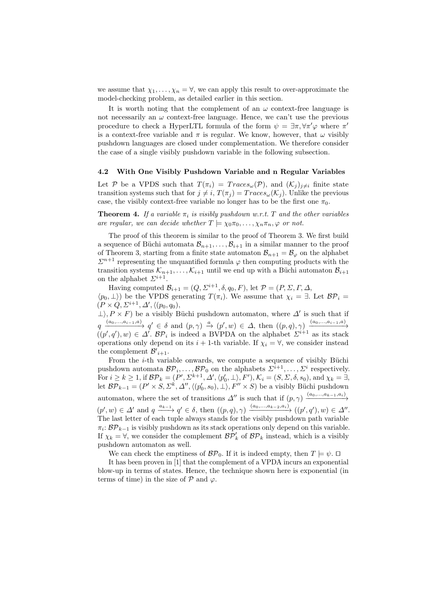we assume that  $\chi_1, \ldots, \chi_n = \forall$ , we can apply this result to over-approximate the model-checking problem, as detailed earlier in this section.

It is worth noting that the complement of an  $\omega$  context-free language is not necessarily an  $\omega$  context-free language. Hence, we can't use the previous procedure to check a HyperLTL formula of the form  $\psi = \exists \pi, \forall \pi' \varphi$  where  $\pi'$ is a context-free variable and  $\pi$  is regular. We know, however, that  $\omega$  visibly pushdown languages are closed under complementation. We therefore consider the case of a single visibly pushdown variable in the following subsection.

#### 4.2 With One Visibly Pushdown Variable and n Regular Variables

Let P be a VPDS such that  $T(\pi_i) = Trace_{\omega}(\mathcal{P})$ , and  $(\mathcal{K}_i)_{i \neq i}$  finite state transition systems such that for  $j \neq i$ ,  $T(\pi_i) = Trace_{\omega}(\mathcal{K}_i)$ . Unlike the previous case, the visibly context-free variable no longer has to be the first one  $\pi_0$ .

**Theorem 4.** If a variable  $\pi_i$  is visibly pushdown w.r.t. T and the other variables are regular, we can decide whether  $T \models \chi_0 \pi_0, \ldots, \chi_n \pi_n, \varphi$  or not.

The proof of this theorem is similar to the proof of Theorem 3. We first build a sequence of Büchi automata  $\mathcal{B}_{n+1}, \ldots, \mathcal{B}_{i+1}$  in a similar manner to the proof of Theorem 3, starting from a finite state automaton  $\mathcal{B}_{n+1} = \mathcal{B}_{\varphi}$  on the alphabet  $\Sigma^{n+1}$  representing the unquantified formula  $\varphi$  then computing products with the transition systems  $\mathcal{K}_{n+1}, \ldots, \mathcal{K}_{i+1}$  until we end up with a Büchi automaton  $\mathcal{B}_{i+1}$ on the alphabet  $\Sigma^{i+1}$ .

Having computed  $\mathcal{B}_{i+1} = (Q, \Sigma^{i+1}, \delta, q_0, F)$ , let  $\mathcal{P} = (P, \Sigma, \Gamma, \Delta, \mathcal{P})$  $\langle p_0, \perp \rangle$  be the VPDS generating  $T(\pi_i)$ . We assume that  $\chi_i = \exists$ . Let  $\mathcal{BP}_i =$  $(P \times Q, \Sigma^{i+1}, \Delta', \langle (p_0, q_0),$ 

 $\perp$ ,  $P \times F$ ) be a visibly Büchi pushdown automaton, where  $\Delta'$  is such that if  $q \xrightarrow{(a_0,...,a_{i-1},a)} q' \in \delta \text{ and } (p,\gamma) \xrightarrow{a} (p',w) \in \Delta, \text{ then } ((p,q),\gamma) \xrightarrow{(a_0,...,a_{i-1},a)}$  $((p', q'), w) \in \Delta'$ .  $\mathcal{BP}_i$  is indeed a BVPDA on the alphabet  $\Sigma^{i+1}$  as its stack operations only depend on its  $i + 1$ -th variable. If  $\chi_i = \forall$ , we consider instead the complement  $\mathcal{B'}_{i+1}$ .

From the  $i$ -th variable onwards, we compute a sequence of visibly Büchi pushdown automata  $\mathcal{BP}_i, \ldots, \mathcal{BP}_0$  on the alphabets  $\Sigma^{i+1}, \ldots, \Sigma^i$  respectively. For  $i \geq k \geq 1$ , if  $\mathcal{BP}_k = (P', \Sigma^{k+1}, \Delta', \langle p'_0, \perp \rangle, F'), \mathcal{K}_i = (S, \Sigma, \delta, s_0)$ , and  $\chi_k = \exists$ , let  $\mathcal{BP}_{k-1} = (P' \times S, \Sigma^k, \Delta'', \langle (p'_0, s_0), \bot \rangle, F'' \times S)$  be a visibly Büchi pushdown automaton, where the set of transitions  $\Delta''$  is such that if  $(p, \gamma) \xrightarrow{(a_0, ..., a_{k-1}, a_i)}$  $(p', w) \in \Delta'$  and  $q \xrightarrow{a_{k-1}} q' \in \delta$ , then  $((p, q), \gamma) \xrightarrow{(a_0, \ldots, a_{k-2}, a_i)} ((p', q'), w) \in \Delta''$ . The last letter of each tuple always stands for the visibly pushdown path variable  $\pi_i: \mathcal{BP}_{k-1}$  is visibly pushdown as its stack operations only depend on this variable. If  $\chi_k = \forall$ , we consider the complement  $\mathcal{BP}'_k$  of  $\mathcal{BP}_k$  instead, which is a visibly pushdown automaton as well.

We can check the emptiness of  $\mathcal{BP}_0$ . If it is indeed empty, then  $T \models \psi$ .  $\Box$ 

It has been proven in [1] that the complement of a VPDA incurs an exponential blow-up in terms of states. Hence, the technique shown here is exponential (in terms of time) in the size of  $\mathcal P$  and  $\varphi$ .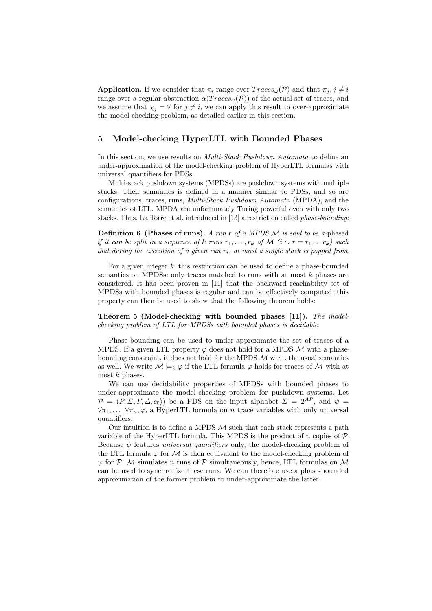**Application.** If we consider that  $\pi_i$  range over  $Trace_{\omega}(\mathcal{P})$  and that  $\pi_j, j \neq i$ range over a regular abstraction  $\alpha(Traces_{\omega}(\mathcal{P}))$  of the actual set of traces, and we assume that  $\chi_i = \forall$  for  $j \neq i$ , we can apply this result to over-approximate the model-checking problem, as detailed earlier in this section.

# 5 Model-checking HyperLTL with Bounded Phases

In this section, we use results on *Multi-Stack Pushdown Automata* to define an under-approximation of the model-checking problem of HyperLTL formulas with universal quantifiers for PDSs.

Multi-stack pushdown systems (MPDSs) are pushdown systems with multiple stacks. Their semantics is defined in a manner similar to PDSs, and so are configurations, traces, runs, Multi-Stack Pushdown Automata (MPDA), and the semantics of LTL. MPDA are unfortunately Turing powerful even with only two stacks. Thus, La Torre et al. introduced in [13] a restriction called phase-bounding:

**Definition 6 (Phases of runs).** A run r of a MPDS  $M$  is said to be k-phased if it can be split in a sequence of k runs  $r_1, \ldots, r_k$  of M (i.e.  $r = r_1 \ldots r_k$ ) such that during the execution of a given run  $r_i$ , at most a single stack is popped from.

For a given integer  $k$ , this restriction can be used to define a phase-bounded semantics on MPDSs: only traces matched to runs with at most  $k$  phases are considered. It has been proven in [11] that the backward reachability set of MPDSs with bounded phases is regular and can be effectively computed; this property can then be used to show that the following theorem holds:

Theorem 5 (Model-checking with bounded phases [11]). The modelchecking problem of LTL for MPDSs with bounded phases is decidable.

Phase-bounding can be used to under-approximate the set of traces of a MPDS. If a given LTL property  $\varphi$  does not hold for a MPDS M with a phasebounding constraint, it does not hold for the MPDS  $M$  w.r.t. the usual semantics as well. We write  $M \models_k \varphi$  if the LTL formula  $\varphi$  holds for traces of M with at most  $k$  phases.

We can use decidability properties of MPDSs with bounded phases to under-approximate the model-checking problem for pushdown systems. Let  $\mathcal{P} = (P, \Sigma, \Gamma, \Delta, c_0)$  be a PDS on the input alphabet  $\Sigma = 2^{AP}$ , and  $\psi =$  $\forall \pi_1, \ldots, \forall \pi_n, \varphi$ , a HyperLTL formula on n trace variables with only universal quantifiers.

Our intuition is to define a MPDS  $\mathcal M$  such that each stack represents a path variable of the HyperLTL formula. This MPDS is the product of  $n$  copies of  $P$ . Because  $\psi$  features *universal quantifiers* only, the model-checking problem of the LTL formula  $\varphi$  for M is then equivalent to the model-checking problem of  $\psi$  for P: M simulates n runs of P simultaneously, hence, LTL formulas on M can be used to synchronize these runs. We can therefore use a phase-bounded approximation of the former problem to under-approximate the latter.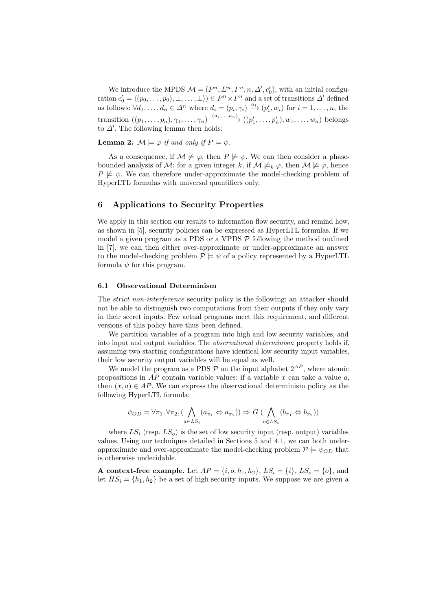We introduce the MPDS  $\mathcal{M} = (P^n, \Sigma^n, \Gamma^n, n, \Delta', c'_0)$ , with an initial configuration  $c'_0 = \langle (p_0, \ldots, p_0), \perp, \ldots, \perp \rangle \rangle \in P^n \times \Gamma^n$  and a set of transitions  $\Delta'$  defined as follows:  $\forall d_1, \ldots, d_n \in \Delta^n$  where  $d_i = (p_i, \gamma_i) \stackrel{a_i}{\longrightarrow} (p'_i, w_i)$  for  $i = 1, \ldots, n$ , the transition  $((p_1, \ldots, p_n), \gamma_1, \ldots, \gamma_n) \xrightarrow{(a_1, \ldots, a_n)} ((p'_1, \ldots, p'_n), w_1, \ldots, w_n)$  belongs to  $\Delta'$ . The following lemma then holds:

**Lemma 2.**  $\mathcal{M} \models \varphi$  if and only if  $P \models \psi$ .

As a consequence, if  $\mathcal{M} \not\models \varphi$ , then  $P \not\models \psi$ . We can then consider a phasebounded analysis of M: for a given integer k, if  $M \not\models_k \varphi$ , then  $M \not\models \varphi$ , hence  $P \not\models \psi$ . We can therefore under-approximate the model-checking problem of HyperLTL formulas with universal quantifiers only.

# 6 Applications to Security Properties

We apply in this section our results to information flow security, and remind how, as shown in [5], security policies can be expressed as HyperLTL formulas. If we model a given program as a PDS or a VPDS  $P$  following the method outlined in [7], we can then either over-approximate or under-approximate an answer to the model-checking problem  $P \models \psi$  of a policy represented by a HyperLTL formula  $\psi$  for this program.

#### 6.1 Observational Determinism

The strict non-interference security policy is the following: an attacker should not be able to distinguish two computations from their outputs if they only vary in their secret inputs. Few actual programs meet this requirement, and different versions of this policy have thus been defined.

We partition variables of a program into high and low security variables, and into input and output variables. The observational determinism property holds if, assuming two starting configurations have identical low security input variables, their low security output variables will be equal as well.

We model the program as a PDS  $\mathcal P$  on the input alphabet  $2^{AP}$ , where atomic propositions in  $AP$  contain variable values: if a variable x can take a value a, then  $(x, a) \in AP$ . We can express the observational determinism policy as the following HyperLTL formula:

$$
\psi_{OD} = \forall \pi_1, \forall \pi_2, (\bigwedge_{a \in LS_i} (a_{\pi_1} \Leftrightarrow a_{\pi_2})) \Rightarrow G \left( \bigwedge_{b \in LS_o} (b_{\pi_1} \Leftrightarrow b_{\pi_2}) \right)
$$

where  $LS_i$  (resp.  $LS_o$ ) is the set of low security input (resp. output) variables values. Using our techniques detailed in Sections 5 and 4.1, we can both underapproximate and over-approximate the model-checking problem  $P \models \psi_{OD}$  that is otherwise undecidable.

**A context-free example.** Let  $AP = \{i, o, h_1, h_2\}$ ,  $LS_i = \{i\}$ ,  $LS_o = \{o\}$ , and let  $HS_i = \{h_1, h_2\}$  be a set of high security inputs. We suppose we are given a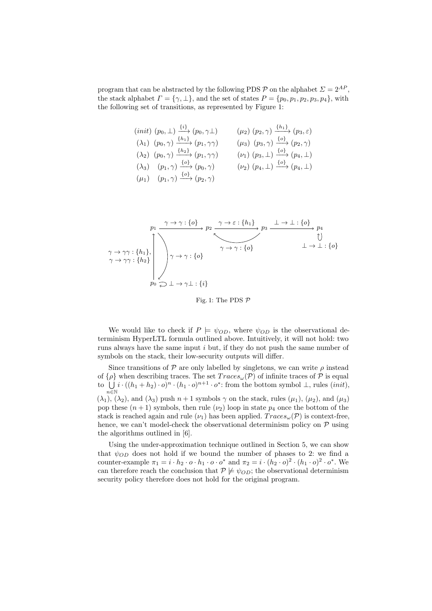program that can be abstracted by the following PDS  $\mathcal{P}$  on the alphabet  $\Sigma = 2^{AP}$ , the stack alphabet  $\Gamma = \{ \gamma, \perp \}$ , and the set of states  $P = \{ p_0, p_1, p_2, p_3, p_4 \}$ , with the following set of transitions, as represented by Figure 1:

$$
(init) (p_0, \perp) \xrightarrow{\{i\}} (p_0, \gamma \perp) \qquad (\mu_2) (p_2, \gamma) \xrightarrow{\{h_1\}} (p_3, \varepsilon)
$$
  
\n
$$
(\lambda_1) (p_0, \gamma) \xrightarrow{\{h_1\}} (p_1, \gamma \gamma) \qquad (\mu_3) (p_3, \gamma) \xrightarrow{\{o\}} (p_2, \gamma)
$$
  
\n
$$
(\lambda_2) (p_0, \gamma) \xrightarrow{\{h_2\}} (p_1, \gamma \gamma) \qquad (\nu_1) (p_3, \perp) \xrightarrow{\{o\}} (p_4, \perp)
$$
  
\n
$$
(\lambda_3) (p_1, \gamma) \xrightarrow{\{o\}} (p_0, \gamma) \qquad (\nu_2) (p_4, \perp) \xrightarrow{\{o\}} (p_4, \perp)
$$
  
\n
$$
(\mu_1) (p_1, \gamma) \xrightarrow{\{o\}} (p_2, \gamma)
$$

$$
p_1 \xrightarrow{\gamma \to \gamma : \{o\}} p_2 \xrightarrow{\gamma \to \varepsilon : \{h_1\}} p_3 \xrightarrow{\bot \to \bot : \{o\}} p_4
$$
  
\n
$$
\gamma \to \gamma \gamma : \{h_1\}, \gamma \to \gamma : \{o\}
$$
  
\n
$$
\gamma \to \gamma \gamma : \{h_2\} \qquad \gamma \to \gamma : \{o\}
$$
  
\n
$$
p_0 \qquad \square \qquad \bot \to \bot : \{i\}
$$

Fig. 1: The PDS  $P$ 

We would like to check if  $P \models \psi_{OD}$ , where  $\psi_{OD}$  is the observational determinism HyperLTL formula outlined above. Intuitively, it will not hold: two runs always have the same input  $i$  but, if they do not push the same number of symbols on the stack, their low-security outputs will differ.

Since transitions of  $P$  are only labelled by singletons, we can write  $\rho$  instead of  $\{\rho\}$  when describing traces. The set  $Trace_{\omega}(\mathcal{P})$  of infinite traces of  $\mathcal P$  is equal to  $\bigcup i \cdot ((h_1 + h_2) \cdot o)^n \cdot (h_1 \cdot o)^{n+1} \cdot o^*$ : from the bottom symbol  $\bot$ , rules  $(int),$  $n \in \mathbb{N}$  $(\lambda_1)$ ,  $(\lambda_2)$ , and  $(\lambda_3)$  push  $n+1$  symbols  $\gamma$  on the stack, rules  $(\mu_1)$ ,  $(\mu_2)$ , and  $(\mu_3)$ pop these  $(n+1)$  symbols, then rule  $(\nu_2)$  loop in state  $p_4$  once the bottom of the stack is reached again and rule  $(\nu_1)$  has been applied.  $Trace_{\omega}(\mathcal{P})$  is context-free, hence, we can't model-check the observational determinism policy on  $P$  using the algorithms outlined in [6].

Using the under-approximation technique outlined in Section 5, we can show that  $\psi_{OD}$  does not hold if we bound the number of phases to 2: we find a counter-example  $\pi_1 = i \cdot h_2 \cdot o \cdot h_1 \cdot o \cdot o^*$  and  $\pi_2 = i \cdot (h_2 \cdot o)^2 \cdot (h_1 \cdot o)^2 \cdot o^*$ . We can therefore reach the conclusion that  $P \not\models \psi_{OD}$ ; the observational determinism security policy therefore does not hold for the original program.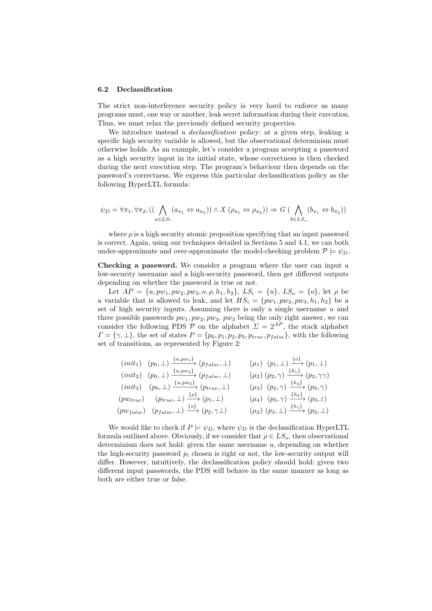#### 6.2 Declassification

The strict non-interference security policy is very hard to enforce as many programs must, one way or another, leak secret information during their execution. Thus, we must relax the previously defined security properties.

We introduce instead a *declassification* policy: at a given step, leaking a specific high security variable is allowed, but the observational determinism must otherwise holds. As an example, let's consider a program accepting a password as a high security input in its initial state, whose correctness is then checked during the next execution step. The program's behaviour then depends on the password's correctness. We express this particular declassification policy as the following HyperLTL formula:

$$
\psi_D = \forall \pi_1, \forall \pi_2, ((\bigwedge_{a \in LS_i} (a_{\pi_1} \Leftrightarrow a_{\pi_2})) \wedge X (\rho_{\pi_1} \Leftrightarrow \rho_{\pi_2})) \Rightarrow G (\bigwedge_{b \in LS_o} (b_{\pi_1} \Leftrightarrow b_{\pi_2}))
$$

where  $\rho$  is a high security atomic proposition specifying that an input password is correct. Again, using our techniques detailed in Sections 5 and 4.1, we can both under-approximate and over-approximate the model-checking problem  $\mathcal{P} \models \psi_D$ .

Checking a password. We consider a program where the user can input a low-security username and a high-security password, then get different outputs depending on whether the password is true or not.

Let  $AP = \{u, pw_1, pw_2, pw_3, o, \rho, h_1, h_2\}$ ,  $LS_i = \{u\}$ ,  $LS_o = \{o\}$ , let  $\rho$  be a variable that is allowed to leak, and let  $HS_i = \{pw_1, pw_2, pw_3, h_1, h_2\}$  be a set of high security inputs. Assuming there is only a single username  $u$  and three possible passwords  $pw_1, pw_2, pw_3$ ,  $pw_3$  being the only right answer, we can consider the following PDS P on the alphabet  $\Sigma = 2^{AP}$ , the stack alphabet  $\Gamma = {\gamma, \perp},$  the set of states  $P = {p_0, p_1, p_2, p_3, p_{true}, p_{false}}$ , with the following set of transitions, as represented by Figure 2:

$$
(init1) (p0, \perp) \xrightarrow{\{u, pw1\}} (pfalse, \perp) ( \mu1) (p1, \perp) \xrightarrow{\{o\}} (p1, \perp)
$$
  
\n
$$
(init2) (p0, \perp) \xrightarrow{\{u, pw2\}} (pfalse, \perp) ( \mu2) (p2, \gamma) \xrightarrow{\{h1\}} (p2, \gamma\gamma)
$$
  
\n
$$
(init3) (p0, \perp) \xrightarrow{\{u, pw3\}} (ptrue, \perp) ( \mu3) (p2, \gamma) \xrightarrow{\{h2\}} (p3, \gamma)
$$
  
\n
$$
(pwtrue) (ptrue, \perp) \xrightarrow{\{o\}} (p1, \perp) ( \mu4) (p3, \gamma) \xrightarrow{\{h2\}} (p3, \epsilon)
$$
  
\n
$$
(pwfalse) (pfalse, \perp) \xrightarrow{\{o\}} (p2, \gamma1) ( \mu2) (p3, \perp) \xrightarrow{\{h1\}} (p3, \epsilon)
$$

 $\sim$ 

We would like to check if  $P \models \psi_D$ , where  $\psi_D$  is the declassification HyperLTL formula outlined above. Obviously, if we consider that  $\rho \in LS_o$ , then observational determinism does not hold: given the same username  $u$ , depending on whether the high-security password  $p_i$  chosen is right or not, the low-security output will differ. However, intuitively, the declassification policy should hold: given two different input passwords, the PDS will behave in the same manner as long as both are either true or false.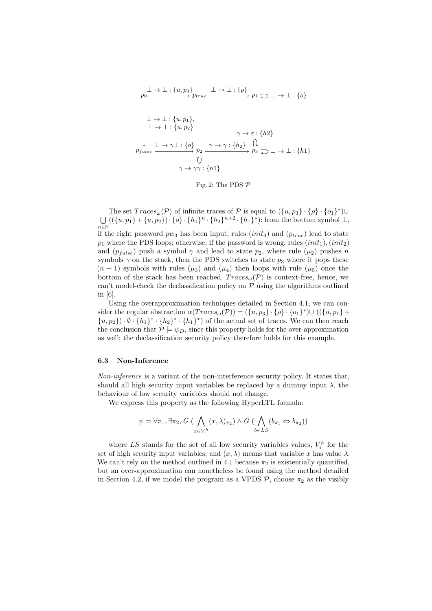$$
p_0 \xrightarrow{\perp} \xrightarrow{\perp} : \{u, p_3\} p_{true} \xrightarrow{\perp} \xrightarrow{\perp} : \{\rho\} p_1 \supseteq \perp \to \perp : \{\rho\}
$$
\n
$$
\downarrow \xrightarrow{\perp} : \{u, p_1\},
$$
\n
$$
\downarrow \xrightarrow{\perp} : \{u, p_2\} \qquad \gamma \to \varepsilon : \{h2\}
$$
\n
$$
p_{false} \xrightarrow{\perp} \gamma \perp : \{o\} p_2 \xrightarrow{\gamma \to \gamma} : \{h_2\} \xrightarrow{\cap} p_3 \supseteq \perp \to \perp : \{h1\}
$$
\n
$$
\uparrow \qquad \qquad \uparrow \qquad \uparrow \gamma \gamma : \{h1\}
$$

Fig. 2: The PDS  $P$ 

The set  $Traces_{\omega}(\mathcal{P})$  of infinite traces of  $\mathcal P$  is equal to  $(\{u, p_3\} \cdot \{\rho\} \cdot \{o_1\}^*) \cup$ U  $\bigcup_{n\in\mathbb{N}} ((\{u, p_1\} + \{u, p_2\}) \cdot \{o\} \cdot \{h_1\}^n \cdot \{h_2\}^{n+2} \cdot \{h_1\}^*)$ : from the bottom symbol  $\perp$ , if the right password  $pw_3$  has been input, rules (*init<sub>3</sub>*) and ( $p_{true}$ ) lead to state  $p_1$  where the PDS loops; otherwise, if the password is wrong, rules  $(init_1), (init_2)$ and  $(p_{false})$  push a symbol  $\gamma$  and lead to state  $p_2$ , where rule  $(\mu_2)$  pushes n symbols  $\gamma$  on the stack, then the PDS switches to state  $p_3$  where it pops these  $(n + 1)$  symbols with rules  $(\mu_3)$  and  $(\mu_4)$  then loops with rule  $(\mu_5)$  once the bottom of the stack has been reached.  $Trace_{\omega}(\mathcal{P})$  is context-free, hence, we can't model-check the declassification policy on  $P$  using the algorithms outlined in [6].

Using the overapproximation techniques detailed in Section 4.1, we can consider the regular abstraction  $\alpha(Traces_{\omega}(\mathcal{P})) = (\{u, p_3\} \cdot {\{\rho\}} \cdot {\{\rho_1\}}^*) \cup ((\{u, p_1\} +$  $\{u, p_2\} \cdot \emptyset \cdot \{h_1\}^* \cdot \{h_2\}^* \cdot \{h_1\}^*$  of the actual set of traces. We can then reach the conclusion that  $P \models \psi_D$ , since this property holds for the over-approximation as well; the declassification security policy therefore holds for this example.

#### 6.3 Non-Inference

Non-inference is a variant of the non-interference security policy. It states that, should all high security input variables be replaced by a dummy input  $\lambda$ , the behaviour of low security variables should not change.

We express this property as the following HyperLTL formula:

$$
\psi = \forall \pi_1, \exists \pi_2, G \; (\bigwedge_{x \in V_i^h} (x, \lambda)_{\pi_2}) \land G \; (\bigwedge_{b \in LS} (b_{\pi_1} \Leftrightarrow b_{\pi_2}))
$$

where LS stands for the set of all low security variables values,  $V_i^h$  for the set of high security input variables, and  $(x, \lambda)$  means that variable x has value  $\lambda$ . We can't rely on the method outlined in 4.1 because  $\pi_2$  is existentially quantified, but an over-approximation can nonetheless be found using the method detailed in Section 4.2, if we model the program as a VPDS  $P$ , choose  $\pi_2$  as the visibly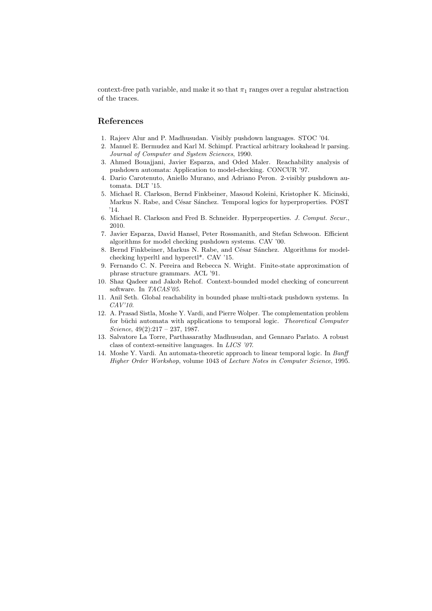context-free path variable, and make it so that  $\pi_1$  ranges over a regular abstraction of the traces.

## References

- 1. Rajeev Alur and P. Madhusudan. Visibly pushdown languages. STOC '04.
- 2. Manuel E. Bermudez and Karl M. Schimpf. Practical arbitrary lookahead lr parsing. Journal of Computer and System Sciences, 1990.
- 3. Ahmed Bouajjani, Javier Esparza, and Oded Maler. Reachability analysis of pushdown automata: Application to model-checking. CONCUR '97.
- 4. Dario Carotenuto, Aniello Murano, and Adriano Peron. 2-visibly pushdown automata. DLT '15.
- 5. Michael R. Clarkson, Bernd Finkbeiner, Masoud Koleini, Kristopher K. Micinski, Markus N. Rabe, and César Sánchez. Temporal logics for hyperproperties. POST '14.
- 6. Michael R. Clarkson and Fred B. Schneider. Hyperproperties. J. Comput. Secur., 2010.
- 7. Javier Esparza, David Hansel, Peter Rossmanith, and Stefan Schwoon. Efficient algorithms for model checking pushdown systems. CAV '00.
- 8. Bernd Finkbeiner, Markus N. Rabe, and César Sánchez. Algorithms for modelchecking hyperltl and hyperctl\*. CAV '15.
- 9. Fernando C. N. Pereira and Rebecca N. Wright. Finite-state approximation of phrase structure grammars. ACL '91.
- 10. Shaz Qadeer and Jakob Rehof. Context-bounded model checking of concurrent software. In TACAS'05.
- 11. Anil Seth. Global reachability in bounded phase multi-stack pushdown systems. In CAV'10.
- 12. A. Prasad Sistla, Moshe Y. Vardi, and Pierre Wolper. The complementation problem for büchi automata with applications to temporal logic. Theoretical Computer Science,  $49(2):217 - 237$ , 1987.
- 13. Salvatore La Torre, Parthasarathy Madhusudan, and Gennaro Parlato. A robust class of context-sensitive languages. In LICS '07.
- 14. Moshe Y. Vardi. An automata-theoretic approach to linear temporal logic. In Banff Higher Order Workshop, volume 1043 of Lecture Notes in Computer Science, 1995.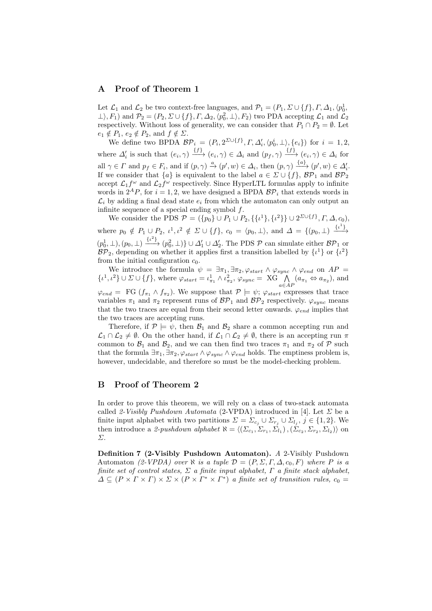## A Proof of Theorem 1

Let  $\mathcal{L}_1$  and  $\mathcal{L}_2$  be two context-free languages, and  $\mathcal{P}_1 = (P_1, \Sigma \cup \{f\}, \Gamma, \Delta_1, \langle p_0^1, \Sigma \rangle)$  $\perp$ ,  $F_1$ ) and  $\mathcal{P}_2 = (P_2, \Sigma \cup \{f\}, \Gamma, \Delta_2, \langle p_0^2, \perp \rangle, F_2)$  two PDA accepting  $\mathcal{L}_1$  and  $\mathcal{L}_2$ respectively. Without loss of generality, we can consider that  $P_1 \cap P_2 = \emptyset$ . Let  $e_1 \notin P_1, e_2 \notin P_2$ , and  $f \notin \Sigma$ .

We define two BPDA  $\mathcal{BP}_i = (P_i, 2^{\Sigma \cup \{f\}}, \Gamma, \Delta'_i, \langle p_0^i, \perp \rangle, \{e_i\})$  for  $i = 1, 2,$ where  $\Delta'_i$  is such that  $(e_i, \gamma) \stackrel{\{f\}}{\longrightarrow} (e_i, \gamma) \in \Delta_i$  and  $(p_f, \gamma) \stackrel{\{f\}}{\longrightarrow} (e_i, \gamma) \in \Delta_i$  for all  $\gamma \in \Gamma$  and  $p_f \in F_i$ , and if  $(p, \gamma) \stackrel{a}{\rightarrow} (p', w) \in \Delta_i$ , then  $(p, \gamma) \stackrel{\{a\}}{\longrightarrow} (p', w) \in \Delta'_i$ . If we consider that  $\{a\}$  is equivalent to the label  $a \in \Sigma \cup \{f\}$ ,  $\mathcal{BP}_1$  and  $\mathcal{BP}_2$ accept  $\mathcal{L}_1 f^{\omega}$  and  $\mathcal{L}_2 f^{\omega}$  respectively. Since HyperLTL formulas apply to infinite words in  $2^{A}P$ , for  $i = 1, 2$ , we have designed a BPDA  $\mathcal{BP}_i$  that extends words in  $\mathcal{L}_i$  by adding a final dead state  $e_i$  from which the automaton can only output an infinite sequence of a special ending symbol  $f$ .

We consider the PDS  $\mathcal{P} = (\{p_0\} \cup P_1 \cup P_2, \{\{t^1\}, \{t^2\}\} \cup 2^{\Sigma \cup \{f\}}, \Gamma, \Delta, c_0),$ where  $p_0 \notin P_1 \cup P_2$ ,  $\iota^1, \iota^2 \notin \Sigma \cup \{f\}$ ,  $c_0 = \langle p_0, \perp \rangle$ , and  $\Delta = \{(p_0, \perp) \xrightarrow{\{\iota^1\}}$  $(p_0^1, \perp), (p_0, \perp) \xrightarrow{\{\iota^2\}} (p_0^2, \perp)\} \cup \Delta'_1 \cup \Delta'_2$ . The PDS  $\mathcal P$  can simulate either  $\mathcal{BP}_1$  or  $\mathcal{BP}_2$ , depending on whether it applies first a transition labelled by  $\{\iota^1\}$  or  $\{\iota^2\}$ from the initial configuration  $c_0$ .

We introduce the formula  $\psi = \exists \pi_1, \exists \pi_2, \varphi_{start} \wedge \varphi_{sync} \wedge \varphi_{end}$  on  $AP =$  $\{\iota^1, \iota^2\} \cup \Sigma \cup \{f\}$ , where  $\varphi_{start} = \iota^1_{\pi_1} \wedge \iota^2_{\pi_2}, \varphi_{sync} = \mathrm{XG} \bigwedge_{a \in AP} (a_{\pi_1} \Leftrightarrow a_{\pi_2}),$  and  $\varphi_{end} = \text{FG } (f_{\pi_1} \wedge f_{\pi_2})$ . We suppose that  $\mathcal{P} \models \psi$ ;  $\varphi_{start}$  expresses that trace variables  $\pi_1$  and  $\pi_2$  represent runs of  $\mathcal{BP}_1$  and  $\mathcal{BP}_2$  respectively.  $\varphi_{sync}$  means that the two traces are equal from their second letter onwards.  $\varphi_{end}$  implies that the two traces are accepting runs.

Therefore, if  $P \models \psi$ , then  $\mathcal{B}_1$  and  $\mathcal{B}_2$  share a common accepting run and  $\mathcal{L}_1 \cap \mathcal{L}_2 \neq \emptyset$ . On the other hand, if  $\mathcal{L}_1 \cap \mathcal{L}_2 \neq \emptyset$ , there is an accepting run  $\pi$ common to  $\mathcal{B}_1$  and  $\mathcal{B}_2$ , and we can then find two traces  $\pi_1$  and  $\pi_2$  of  $\mathcal P$  such that the formula  $\exists \pi_1, \exists \pi_2, \varphi_{start} \wedge \varphi_{sync} \wedge \varphi_{end}$  holds. The emptiness problem is, however, undecidable, and therefore so must be the model-checking problem.

# B Proof of Theorem 2

In order to prove this theorem, we will rely on a class of two-stack automata called 2-Visibly Pushdown Automata (2-VPDA) introduced in [4]. Let  $\Sigma$  be a finite input alphabet with two partitions  $\Sigma = \Sigma_{c_j} \cup \Sigma_{r_j} \cup \Sigma_{l_j}, j \in \{1, 2\}$ . We then introduce a 2-pushdown alphabet  $\aleph = \langle (\Sigma_{c_1}, \Sigma_{r_1}, \Sigma_{l_1}), (\Sigma_{c_2}, \Sigma_{r_2}, \Sigma_{l_2}) \rangle$  on Σ.

Definition 7 (2-Visibly Pushdown Automaton). A 2-Visibly Pushdown Automaton (2-VPDA) over  $\aleph$  is a tuple  $\mathcal{D} = (P, \Sigma, \Gamma, \Delta, c_0, F)$  where P is a finite set of control states,  $\Sigma$  a finite input alphabet,  $\Gamma$  a finite stack alphabet,  $\Delta \subseteq (P \times \Gamma \times \Gamma) \times \Sigma \times (P \times \Gamma^* \times \Gamma^*)$  a finite set of transition rules,  $c_0 =$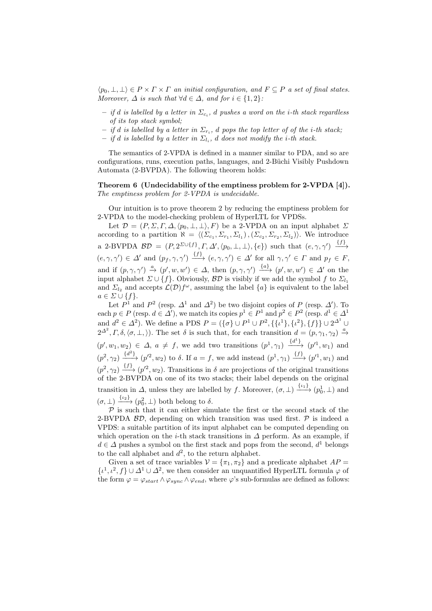$\langle p_0, \perp, \perp \rangle \in P \times \Gamma \times \Gamma$  an initial configuration, and  $F \subseteq P$  a set of final states. Moreover,  $\Delta$  is such that  $\forall d \in \Delta$ , and for  $i \in \{1,2\}$ :

- $-$  if  $d$  is labelled by a letter in  $\Sigma_{c_i},$   $d$  pushes a word on the i-th stack regardless of its top stack symbol;
- $-$  if d is labelled by a letter in  $\Sigma_{r_i},$  d pops the top letter of of the i-th stack;
- $-$  if d is labelled by a letter in  $\Sigma_{l_i}$ , d does not modify the i-th stack.

The semantics of 2-VPDA is defined in a manner similar to PDA, and so are configurations, runs, execution paths, languages, and 2-Büchi Visibly Pushdown Automata (2-BVPDA). The following theorem holds:

#### Theorem 6 (Undecidability of the emptiness problem for 2-VPDA [4]). The emptiness problem for 2-VPDA is undecidable.

Our intuition is to prove theorem 2 by reducing the emptiness problem for 2-VPDA to the model-checking problem of HyperLTL for VPDSs.

Let  $\mathcal{D} = (P, \Sigma, \Gamma, \Delta, \langle p_0, \bot, \bot \rangle, F)$  be a 2-VPDA on an input alphabet  $\Sigma$ according to a partition  $\aleph = \langle (\Sigma_{c_1}, \Sigma_{r_1}, \Sigma_{l_1}), (\Sigma_{c_2}, \Sigma_{r_2}, \Sigma_{l_2}) \rangle$ . We introduce a 2-BVPDA  $\mathcal{BD} = (P, 2^{\Sigma \cup \{f\}}, F, \Delta', \langle p_0, \bot, \bot \rangle, \{e\})$  such that  $(e, \gamma, \gamma') \xrightarrow{\{f\}}$  $(e, \gamma, \gamma') \in \Delta'$  and  $(p_f, \gamma, \gamma') \xrightarrow{\{f\}} (e, \gamma, \gamma') \in \Delta'$  for all  $\gamma, \gamma' \in \Gamma$  and  $p_f \in F$ , and if  $(p, \gamma, \gamma') \stackrel{a}{\rightarrow} (p', w, w') \in \Delta$ , then  $(p, \gamma, \gamma') \stackrel{\{a\}}{\longrightarrow} (p', w, w') \in \Delta'$  on the input alphabet  $\Sigma \cup \{f\}$ . Obviously,  $B\mathcal{D}$  is visibly if we add the symbol f to  $\Sigma_{l_1}$ and  $\Sigma_{l_2}$  and accepts  $\mathcal{L}(\mathcal{D})f^{\omega}$ , assuming the label  $\{a\}$  is equivalent to the label  $a \in \Sigma \cup \{f\}.$ 

Let  $P^1$  and  $P^2$  (resp.  $\Delta^1$  and  $\Delta^2$ ) be two disjoint copies of P (resp.  $\Delta'$ ). To each  $p \in P$  (resp.  $d \in \Delta'$ ), we match its copies  $p^1 \in P^1$  and  $p^2 \in P^2$  (resp.  $d^1 \in \Delta^1$ ) and  $d^2 \in \Delta^2$ ). We define a PDS  $P = (\{\sigma\} \cup P^1 \cup P^2, \{\{\iota^1\}, \{\iota^2\}, \{f\}\} \cup 2^{\Delta^1} \cup$  $2^{\Delta^2}, \Gamma, \delta, \langle \sigma, \bot, \rangle$ ). The set  $\delta$  is such that, for each transition  $d = (p, \gamma_1, \gamma_2) \stackrel{a}{\rightarrow}$  $(p', w_1, w_2) \in \Delta$ ,  $a \neq f$ , we add two transitions  $(p^1, \gamma_1) \xrightarrow{\{d^1\}} (p'^1, w_1)$  and  $(p^2, \gamma_2) \xrightarrow{\{d^2\}} (p'^2, w_2)$  to  $\delta$ . If  $a = f$ , we add instead  $(p^1, \gamma_1) \xrightarrow{\{f\}} (p'^1, w_1)$  and  $(p^2, \gamma_2) \xrightarrow{\{f\}} (p'^2, w_2)$ . Transitions in  $\delta$  are projections of the original transitions of the 2-BVPDA on one of its two stacks; their label depends on the original transition in  $\Delta$ , unless they are labelled by f. Moreover,  $(\sigma, \perp) \xrightarrow{\{\iota_1\}} (\rho_0^1, \perp)$  and  $(\sigma, \perp) \xrightarrow{\{\iota_2\}} (p_0^2, \perp)$  both belong to  $\delta$ .

 $\mathcal P$  is such that it can either simulate the first or the second stack of the 2-BVPDA  $\beta \mathcal{D}$ , depending on which transition was used first.  $\mathcal{P}$  is indeed a VPDS: a suitable partition of its input alphabet can be computed depending on which operation on the *i*-th stack transitions in  $\Delta$  perform. As an example, if  $d \in \Delta$  pushes a symbol on the first stack and pops from the second,  $d^1$  belongs to the call alphabet and  $d^2$ , to the return alphabet.

Given a set of trace variables  $V = {\pi_1, \pi_2}$  and a predicate alphabet  $AP =$  $\{\iota^1, \iota^2, f\} \cup \Delta^1 \cup \Delta^2$ , we then consider an unquantified HyperLTL formula  $\varphi$  of the form  $\varphi = \varphi_{start} \wedge \varphi_{sync} \wedge \varphi_{end}$ , where  $\varphi$ 's sub-formulas are defined as follows: